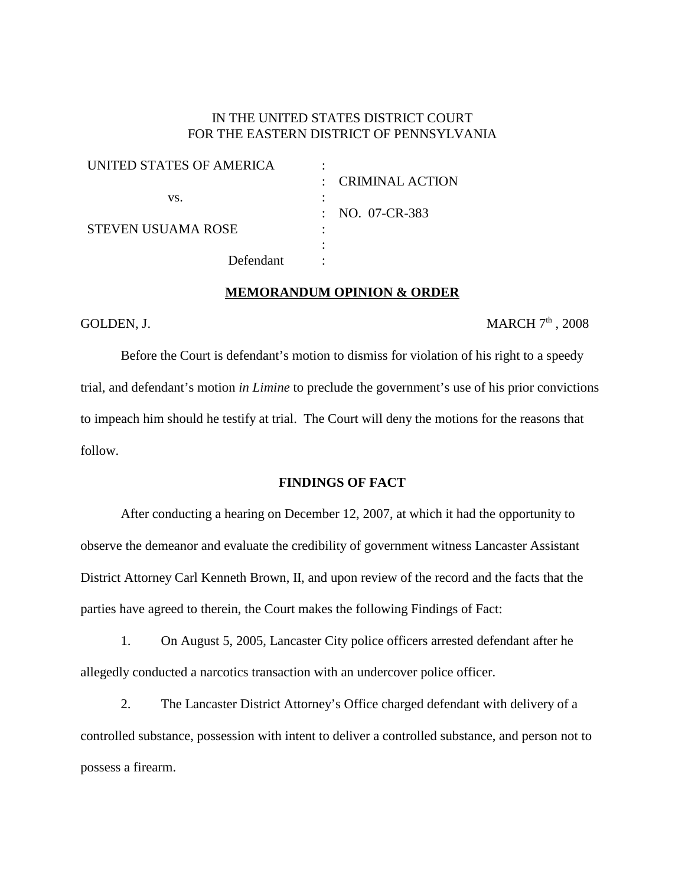# IN THE UNITED STATES DISTRICT COURT FOR THE EASTERN DISTRICT OF PENNSYLVANIA

| UNITED STATES OF AMERICA  |                    |
|---------------------------|--------------------|
|                           | : CRIMINAL ACTION  |
| VS.                       |                    |
|                           | : NO. $07$ -CR-383 |
| <b>STEVEN USUAMA ROSE</b> |                    |
|                           |                    |
| Defendant                 |                    |

#### **MEMORANDUM OPINION & ORDER**

GOLDEN, J.  $MARCH \, 7<sup>th</sup>$ , 2008

Before the Court is defendant's motion to dismiss for violation of his right to a speedy trial, and defendant's motion *in Limine* to preclude the government's use of his prior convictions to impeach him should he testify at trial. The Court will deny the motions for the reasons that follow.

### **FINDINGS OF FACT**

After conducting a hearing on December 12, 2007, at which it had the opportunity to observe the demeanor and evaluate the credibility of government witness Lancaster Assistant District Attorney Carl Kenneth Brown, II, and upon review of the record and the facts that the parties have agreed to therein, the Court makes the following Findings of Fact:

1. On August 5, 2005, Lancaster City police officers arrested defendant after he allegedly conducted a narcotics transaction with an undercover police officer.

2. The Lancaster District Attorney's Office charged defendant with delivery of a controlled substance, possession with intent to deliver a controlled substance, and person not to possess a firearm.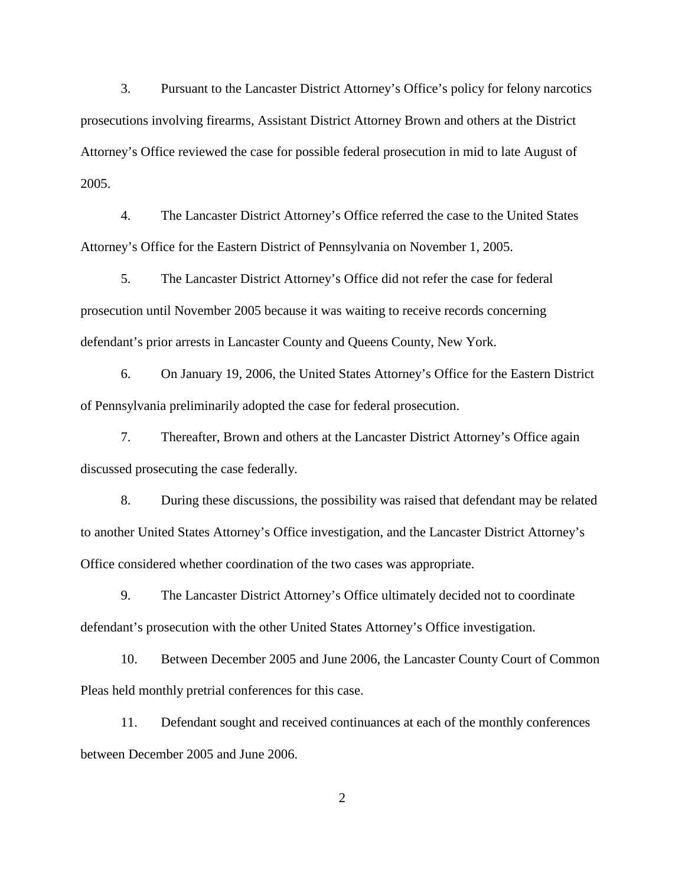3. Pursuant to the Lancaster District Attorney's Office's policy for felony narcotics prosecutions involving firearms, Assistant District Attorney Brown and others at the District Attorney's Office reviewed the case for possible federal prosecution in mid to late August of 2005.

4. The Lancaster District Attorney's Office referred the case to the United States Attorney's Office for the Eastern District of Pennsylvania on November 1, 2005.

5. The Lancaster District Attorney's Office did not refer the case for federal prosecution until November 2005 because it was waiting to receive records concerning defendant's prior arrests in Lancaster County and Queens County, New York.

6. On January 19, 2006, the United States Attorney's Office for the Eastern District of Pennsylvania preliminarily adopted the case for federal prosecution.

7. Thereafter, Brown and others at the Lancaster District Attorney's Office again discussed prosecuting the case federally.

8. During these discussions, the possibility was raised that defendant may be related to another United States Attorney's Office investigation, and the Lancaster District Attorney's Office considered whether coordination of the two cases was appropriate.

9. The Lancaster District Attorney's Office ultimately decided not to coordinate defendant's prosecution with the other United States Attorney's Office investigation.

10. Between December 2005 and June 2006, the Lancaster County Court of Common Pleas held monthly pretrial conferences for this case.

11. Defendant sought and received continuances at each of the monthly conferences between December 2005 and June 2006.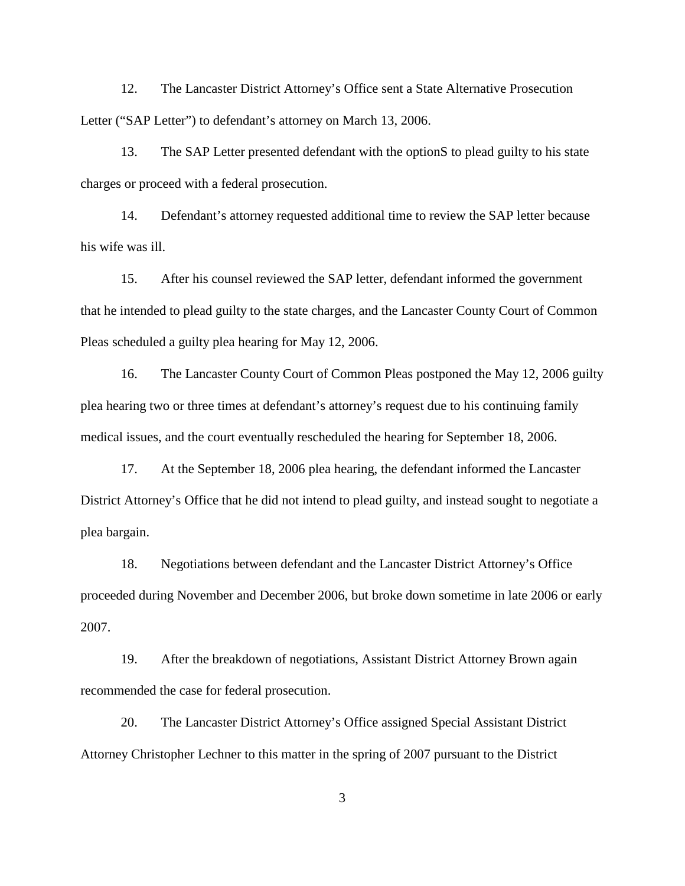12. The Lancaster District Attorney's Office sent a State Alternative Prosecution Letter ("SAP Letter") to defendant's attorney on March 13, 2006.

13. The SAP Letter presented defendant with the optionS to plead guilty to his state charges or proceed with a federal prosecution.

14. Defendant's attorney requested additional time to review the SAP letter because his wife was ill.

15. After his counsel reviewed the SAP letter, defendant informed the government that he intended to plead guilty to the state charges, and the Lancaster County Court of Common Pleas scheduled a guilty plea hearing for May 12, 2006.

16. The Lancaster County Court of Common Pleas postponed the May 12, 2006 guilty plea hearing two or three times at defendant's attorney's request due to his continuing family medical issues, and the court eventually rescheduled the hearing for September 18, 2006.

17. At the September 18, 2006 plea hearing, the defendant informed the Lancaster District Attorney's Office that he did not intend to plead guilty, and instead sought to negotiate a plea bargain.

18. Negotiations between defendant and the Lancaster District Attorney's Office proceeded during November and December 2006, but broke down sometime in late 2006 or early 2007.

19. After the breakdown of negotiations, Assistant District Attorney Brown again recommended the case for federal prosecution.

20. The Lancaster District Attorney's Office assigned Special Assistant District Attorney Christopher Lechner to this matter in the spring of 2007 pursuant to the District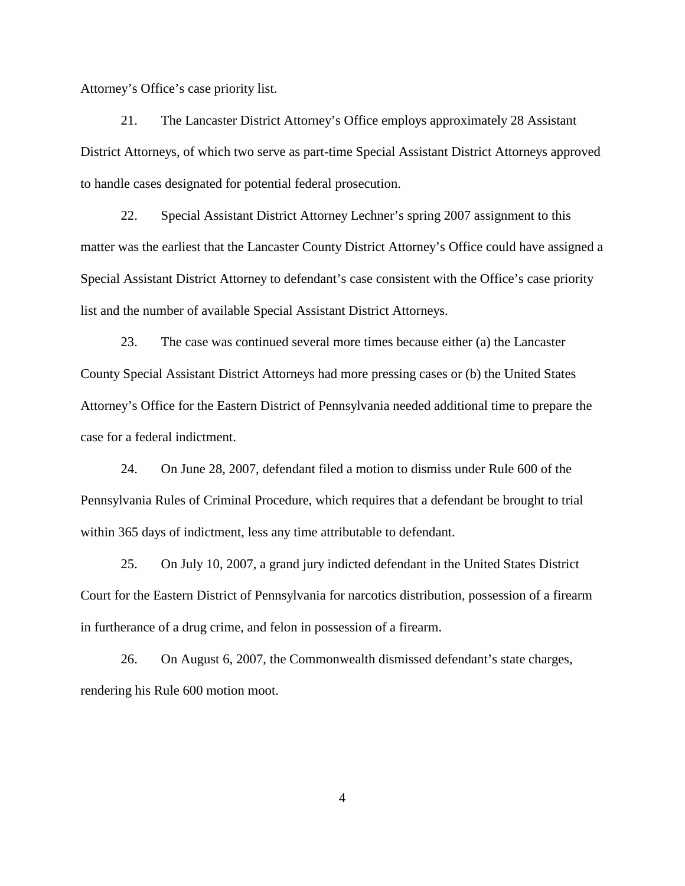Attorney's Office's case priority list.

21. The Lancaster District Attorney's Office employs approximately 28 Assistant District Attorneys, of which two serve as part-time Special Assistant District Attorneys approved to handle cases designated for potential federal prosecution.

22. Special Assistant District Attorney Lechner's spring 2007 assignment to this matter was the earliest that the Lancaster County District Attorney's Office could have assigned a Special Assistant District Attorney to defendant's case consistent with the Office's case priority list and the number of available Special Assistant District Attorneys.

23. The case was continued several more times because either (a) the Lancaster County Special Assistant District Attorneys had more pressing cases or (b) the United States Attorney's Office for the Eastern District of Pennsylvania needed additional time to prepare the case for a federal indictment.

24. On June 28, 2007, defendant filed a motion to dismiss under Rule 600 of the Pennsylvania Rules of Criminal Procedure, which requires that a defendant be brought to trial within 365 days of indictment, less any time attributable to defendant.

25. On July 10, 2007, a grand jury indicted defendant in the United States District Court for the Eastern District of Pennsylvania for narcotics distribution, possession of a firearm in furtherance of a drug crime, and felon in possession of a firearm.

26. On August 6, 2007, the Commonwealth dismissed defendant's state charges, rendering his Rule 600 motion moot.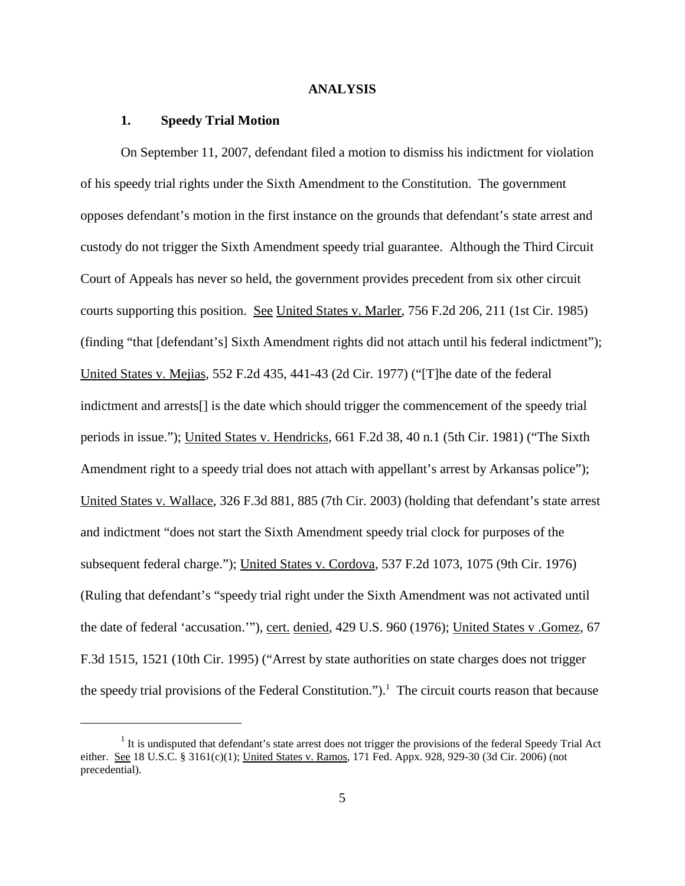#### **ANALYSIS**

#### **1. Speedy Trial Motion**

On September 11, 2007, defendant filed a motion to dismiss his indictment for violation of his speedy trial rights under the Sixth Amendment to the Constitution. The government opposes defendant's motion in the first instance on the grounds that defendant's state arrest and custody do not trigger the Sixth Amendment speedy trial guarantee. Although the Third Circuit Court of Appeals has never so held, the government provides precedent from six other circuit courts supporting this position. See United States v. Marler, 756 F.2d 206, 211 (1st Cir. 1985) (finding "that [defendant's] Sixth Amendment rights did not attach until his federal indictment"); United States v. Mejias, 552 F.2d 435, 441-43 (2d Cir. 1977) ("[T]he date of the federal indictment and arrests[] is the date which should trigger the commencement of the speedy trial periods in issue."); United States v. Hendricks, 661 F.2d 38, 40 n.1 (5th Cir. 1981) ("The Sixth Amendment right to a speedy trial does not attach with appellant's arrest by Arkansas police"); United States v. Wallace, 326 F.3d 881, 885 (7th Cir. 2003) (holding that defendant's state arrest and indictment "does not start the Sixth Amendment speedy trial clock for purposes of the subsequent federal charge."); United States v. Cordova, 537 F.2d 1073, 1075 (9th Cir. 1976) (Ruling that defendant's "speedy trial right under the Sixth Amendment was not activated until the date of federal 'accusation.'"), cert. denied, 429 U.S. 960 (1976); United States v .Gomez, 67 F.3d 1515, 1521 (10th Cir. 1995) ("Arrest by state authorities on state charges does not trigger the speedy trial provisions of the Federal Constitution."). <sup>1</sup> The circuit courts reason that because

 $<sup>1</sup>$  It is undisputed that defendant's state arrest does not trigger the provisions of the federal Speedy Trial Act</sup> either. See 18 U.S.C. § 3161(c)(1); United States v. Ramos, 171 Fed. Appx. 928, 929-30 (3d Cir. 2006) (not precedential).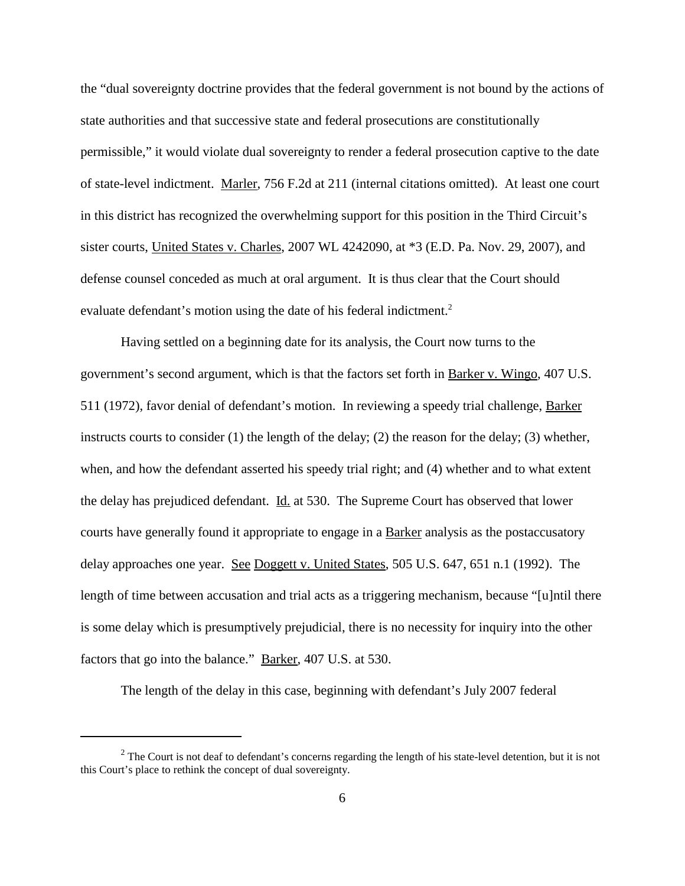the "dual sovereignty doctrine provides that the federal government is not bound by the actions of state authorities and that successive state and federal prosecutions are constitutionally permissible," it would violate dual sovereignty to render a federal prosecution captive to the date of state-level indictment. Marler, 756 F.2d at 211 (internal citations omitted). At least one court in this district has recognized the overwhelming support for this position in the Third Circuit's sister courts, United States v. Charles, 2007 WL 4242090, at \*3 (E.D. Pa. Nov. 29, 2007), and defense counsel conceded as much at oral argument. It is thus clear that the Court should evaluate defendant's motion using the date of his federal indictment.<sup>2</sup>

Having settled on a beginning date for its analysis, the Court now turns to the government's second argument, which is that the factors set forth in Barker v. Wingo, 407 U.S. 511 (1972), favor denial of defendant's motion. In reviewing a speedy trial challenge, Barker instructs courts to consider (1) the length of the delay; (2) the reason for the delay; (3) whether, when, and how the defendant asserted his speedy trial right; and (4) whether and to what extent the delay has prejudiced defendant. Id. at 530. The Supreme Court has observed that lower courts have generally found it appropriate to engage in a Barker analysis as the postaccusatory delay approaches one year. See Doggett v. United States, 505 U.S. 647, 651 n.1 (1992). The length of time between accusation and trial acts as a triggering mechanism, because "[u]ntil there is some delay which is presumptively prejudicial, there is no necessity for inquiry into the other factors that go into the balance." Barker, 407 U.S. at 530.

The length of the delay in this case, beginning with defendant's July 2007 federal

 $2$  The Court is not deaf to defendant's concerns regarding the length of his state-level detention, but it is not this Court's place to rethink the concept of dual sovereignty.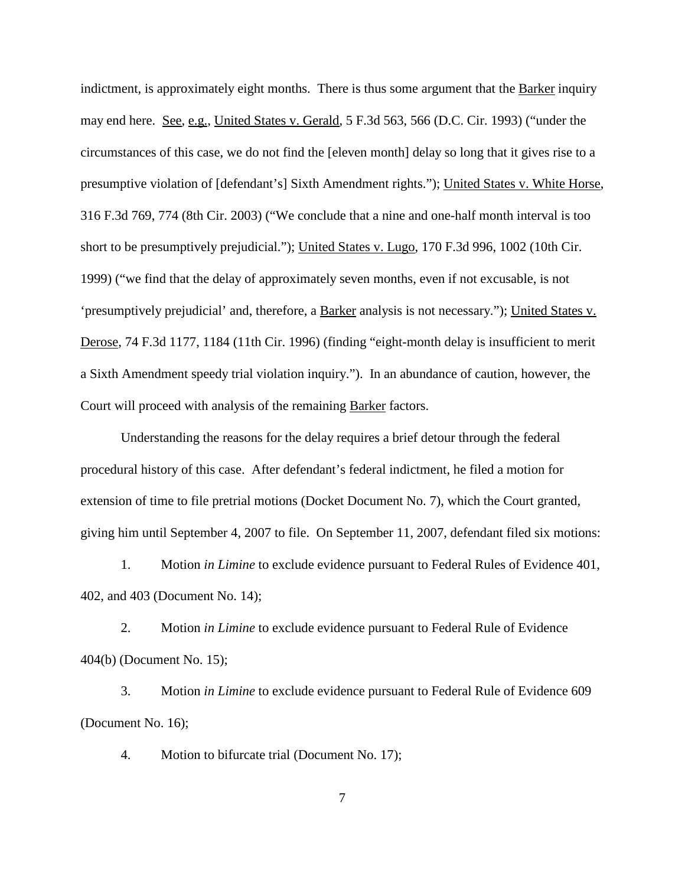indictment, is approximately eight months. There is thus some argument that the **Barker** inquiry may end here. See, e.g., United States v. Gerald, 5 F.3d 563, 566 (D.C. Cir. 1993) ("under the circumstances of this case, we do not find the [eleven month] delay so long that it gives rise to a presumptive violation of [defendant's] Sixth Amendment rights."); United States v. White Horse, 316 F.3d 769, 774 (8th Cir. 2003) ("We conclude that a nine and one-half month interval is too short to be presumptively prejudicial."); United States v. Lugo, 170 F.3d 996, 1002 (10th Cir. 1999) ("we find that the delay of approximately seven months, even if not excusable, is not 'presumptively prejudicial' and, therefore, a Barker analysis is not necessary."); United States v. Derose, 74 F.3d 1177, 1184 (11th Cir. 1996) (finding "eight-month delay is insufficient to merit a Sixth Amendment speedy trial violation inquiry."). In an abundance of caution, however, the Court will proceed with analysis of the remaining Barker factors.

Understanding the reasons for the delay requires a brief detour through the federal procedural history of this case. After defendant's federal indictment, he filed a motion for extension of time to file pretrial motions (Docket Document No. 7), which the Court granted, giving him until September 4, 2007 to file. On September 11, 2007, defendant filed six motions:

1. Motion *in Limine* to exclude evidence pursuant to Federal Rules of Evidence 401, 402, and 403 (Document No. 14);

2. Motion *in Limine* to exclude evidence pursuant to Federal Rule of Evidence 404(b) (Document No. 15);

3. Motion *in Limine* to exclude evidence pursuant to Federal Rule of Evidence 609 (Document No. 16);

4. Motion to bifurcate trial (Document No. 17);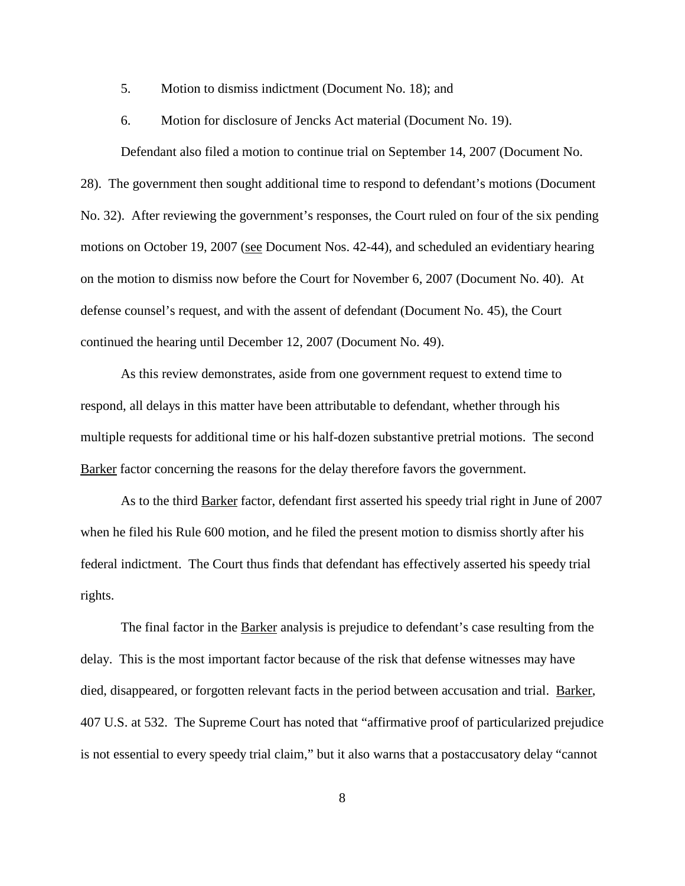5. Motion to dismiss indictment (Document No. 18); and

6. Motion for disclosure of Jencks Act material (Document No. 19).

Defendant also filed a motion to continue trial on September 14, 2007 (Document No. 28). The government then sought additional time to respond to defendant's motions (Document No. 32). After reviewing the government's responses, the Court ruled on four of the six pending motions on October 19, 2007 (see Document Nos. 42-44), and scheduled an evidentiary hearing on the motion to dismiss now before the Court for November 6, 2007 (Document No. 40). At defense counsel's request, and with the assent of defendant (Document No. 45), the Court continued the hearing until December 12, 2007 (Document No. 49).

As this review demonstrates, aside from one government request to extend time to respond, all delays in this matter have been attributable to defendant, whether through his multiple requests for additional time or his half-dozen substantive pretrial motions. The second Barker factor concerning the reasons for the delay therefore favors the government.

As to the third Barker factor, defendant first asserted his speedy trial right in June of 2007 when he filed his Rule 600 motion, and he filed the present motion to dismiss shortly after his federal indictment. The Court thus finds that defendant has effectively asserted his speedy trial rights.

The final factor in the **Barker** analysis is prejudice to defendant's case resulting from the delay. This is the most important factor because of the risk that defense witnesses may have died, disappeared, or forgotten relevant facts in the period between accusation and trial. Barker, 407 U.S. at 532. The Supreme Court has noted that "affirmative proof of particularized prejudice is not essential to every speedy trial claim," but it also warns that a postaccusatory delay "cannot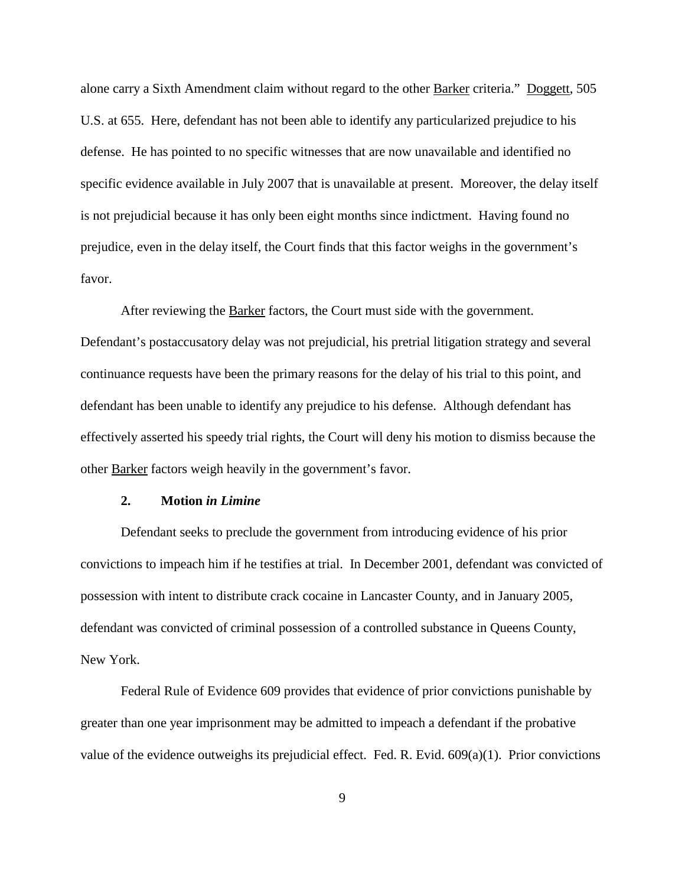alone carry a Sixth Amendment claim without regard to the other Barker criteria." Doggett, 505 U.S. at 655. Here, defendant has not been able to identify any particularized prejudice to his defense. He has pointed to no specific witnesses that are now unavailable and identified no specific evidence available in July 2007 that is unavailable at present. Moreover, the delay itself is not prejudicial because it has only been eight months since indictment. Having found no prejudice, even in the delay itself, the Court finds that this factor weighs in the government's favor.

After reviewing the Barker factors, the Court must side with the government. Defendant's postaccusatory delay was not prejudicial, his pretrial litigation strategy and several continuance requests have been the primary reasons for the delay of his trial to this point, and defendant has been unable to identify any prejudice to his defense. Although defendant has effectively asserted his speedy trial rights, the Court will deny his motion to dismiss because the other Barker factors weigh heavily in the government's favor.

## **2. Motion** *in Limine*

Defendant seeks to preclude the government from introducing evidence of his prior convictions to impeach him if he testifies at trial. In December 2001, defendant was convicted of possession with intent to distribute crack cocaine in Lancaster County, and in January 2005, defendant was convicted of criminal possession of a controlled substance in Queens County, New York.

Federal Rule of Evidence 609 provides that evidence of prior convictions punishable by greater than one year imprisonment may be admitted to impeach a defendant if the probative value of the evidence outweighs its prejudicial effect. Fed. R. Evid. 609(a)(1). Prior convictions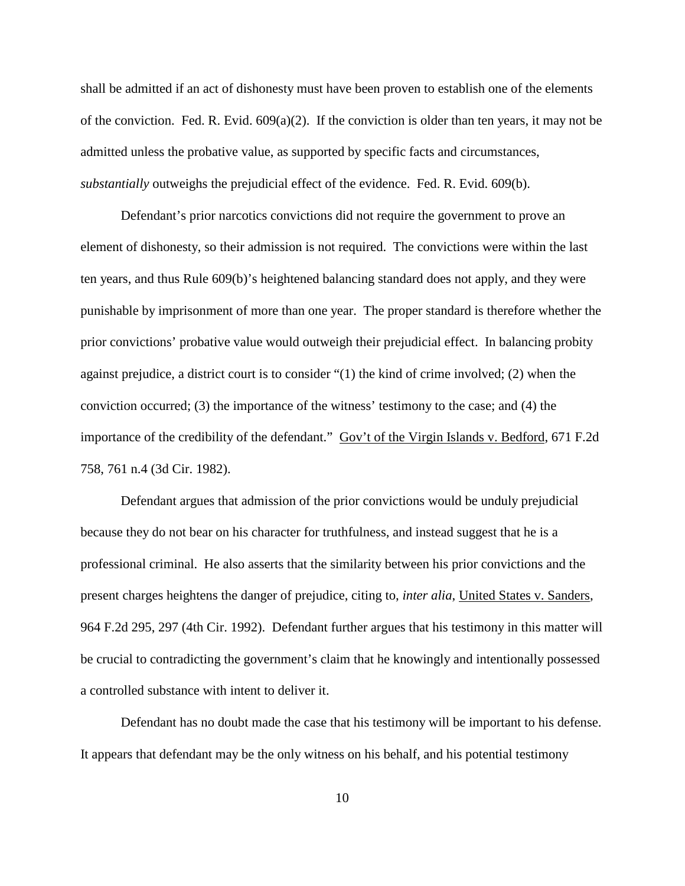shall be admitted if an act of dishonesty must have been proven to establish one of the elements of the conviction. Fed. R. Evid.  $609(a)(2)$ . If the conviction is older than ten years, it may not be admitted unless the probative value, as supported by specific facts and circumstances, *substantially* outweighs the prejudicial effect of the evidence. Fed. R. Evid. 609(b).

Defendant's prior narcotics convictions did not require the government to prove an element of dishonesty, so their admission is not required. The convictions were within the last ten years, and thus Rule 609(b)'s heightened balancing standard does not apply, and they were punishable by imprisonment of more than one year. The proper standard is therefore whether the prior convictions' probative value would outweigh their prejudicial effect. In balancing probity against prejudice, a district court is to consider "(1) the kind of crime involved; (2) when the conviction occurred; (3) the importance of the witness' testimony to the case; and (4) the importance of the credibility of the defendant." Gov't of the Virgin Islands v. Bedford, 671 F.2d 758, 761 n.4 (3d Cir. 1982).

Defendant argues that admission of the prior convictions would be unduly prejudicial because they do not bear on his character for truthfulness, and instead suggest that he is a professional criminal. He also asserts that the similarity between his prior convictions and the present charges heightens the danger of prejudice, citing to, *inter alia*, United States v. Sanders, 964 F.2d 295, 297 (4th Cir. 1992). Defendant further argues that his testimony in this matter will be crucial to contradicting the government's claim that he knowingly and intentionally possessed a controlled substance with intent to deliver it.

Defendant has no doubt made the case that his testimony will be important to his defense. It appears that defendant may be the only witness on his behalf, and his potential testimony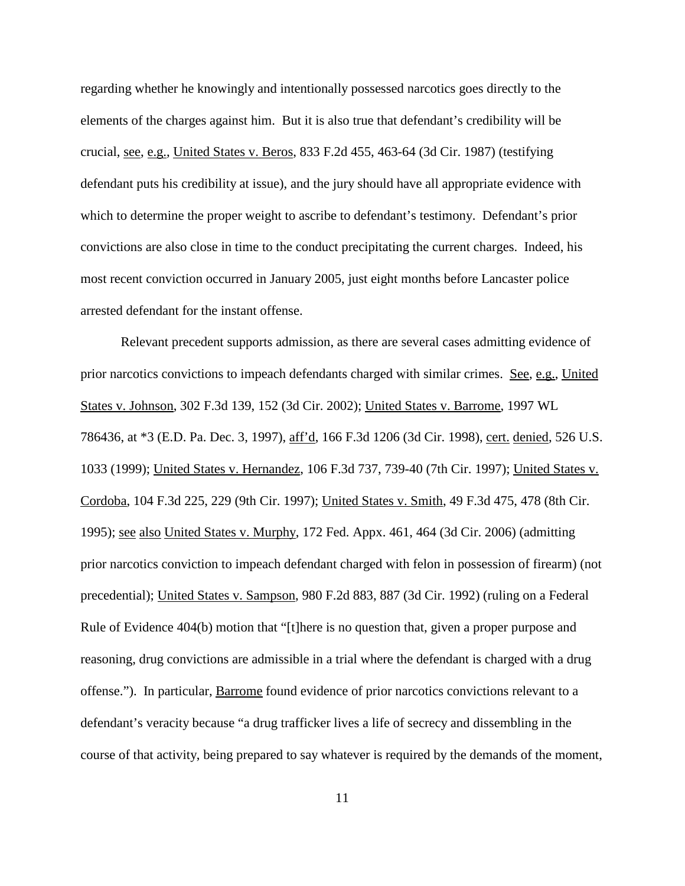regarding whether he knowingly and intentionally possessed narcotics goes directly to the elements of the charges against him. But it is also true that defendant's credibility will be crucial, see, e.g., United States v. Beros, 833 F.2d 455, 463-64 (3d Cir. 1987) (testifying defendant puts his credibility at issue), and the jury should have all appropriate evidence with which to determine the proper weight to ascribe to defendant's testimony. Defendant's prior convictions are also close in time to the conduct precipitating the current charges. Indeed, his most recent conviction occurred in January 2005, just eight months before Lancaster police arrested defendant for the instant offense.

Relevant precedent supports admission, as there are several cases admitting evidence of prior narcotics convictions to impeach defendants charged with similar crimes. See, e.g., United States v. Johnson, 302 F.3d 139, 152 (3d Cir. 2002); United States v. Barrome, 1997 WL 786436, at \*3 (E.D. Pa. Dec. 3, 1997), aff'd, 166 F.3d 1206 (3d Cir. 1998), cert. denied, 526 U.S. 1033 (1999); United States v. Hernandez, 106 F.3d 737, 739-40 (7th Cir. 1997); United States v. Cordoba, 104 F.3d 225, 229 (9th Cir. 1997); United States v. Smith, 49 F.3d 475, 478 (8th Cir. 1995); see also United States v. Murphy, 172 Fed. Appx. 461, 464 (3d Cir. 2006) (admitting prior narcotics conviction to impeach defendant charged with felon in possession of firearm) (not precedential); United States v. Sampson, 980 F.2d 883, 887 (3d Cir. 1992) (ruling on a Federal Rule of Evidence 404(b) motion that "[t]here is no question that, given a proper purpose and reasoning, drug convictions are admissible in a trial where the defendant is charged with a drug offense."). In particular, Barrome found evidence of prior narcotics convictions relevant to a defendant's veracity because "a drug trafficker lives a life of secrecy and dissembling in the course of that activity, being prepared to say whatever is required by the demands of the moment,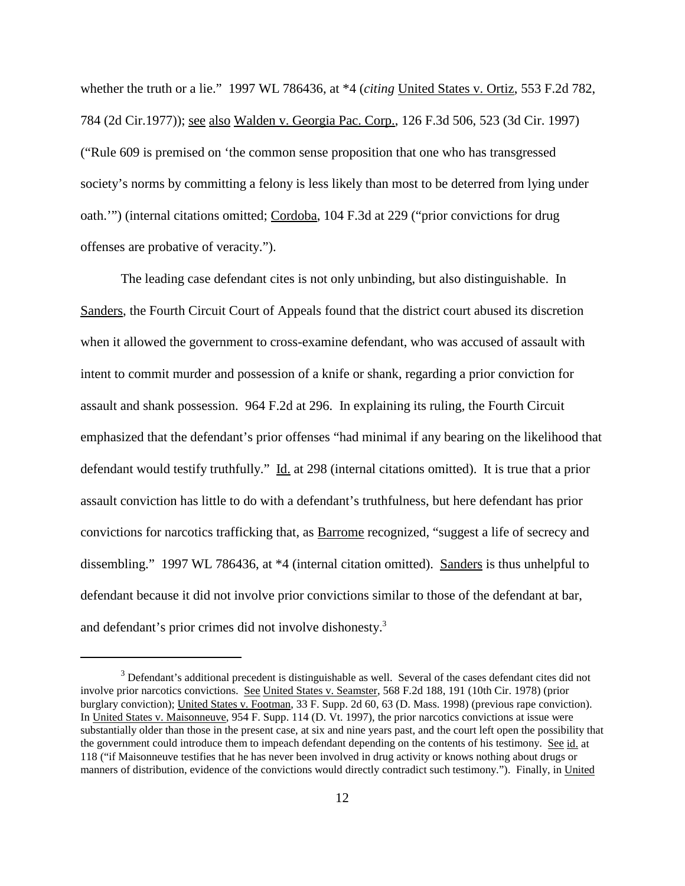whether the truth or a lie." 1997 WL 786436, at \*4 (*citing* United States v. Ortiz, 553 F.2d 782, 784 (2d Cir.1977)); see also Walden v. Georgia Pac. Corp., 126 F.3d 506, 523 (3d Cir. 1997) ("Rule 609 is premised on 'the common sense proposition that one who has transgressed society's norms by committing a felony is less likely than most to be deterred from lying under oath."") (internal citations omitted; Cordoba, 104 F.3d at 229 ("prior convictions for drug offenses are probative of veracity.").

The leading case defendant cites is not only unbinding, but also distinguishable. In Sanders, the Fourth Circuit Court of Appeals found that the district court abused its discretion when it allowed the government to cross-examine defendant, who was accused of assault with intent to commit murder and possession of a knife or shank, regarding a prior conviction for assault and shank possession. 964 F.2d at 296. In explaining its ruling, the Fourth Circuit emphasized that the defendant's prior offenses "had minimal if any bearing on the likelihood that defendant would testify truthfully." Id. at 298 (internal citations omitted). It is true that a prior assault conviction has little to do with a defendant's truthfulness, but here defendant has prior convictions for narcotics trafficking that, as Barrome recognized, "suggest a life of secrecy and dissembling." 1997 WL 786436, at \*4 (internal citation omitted). Sanders is thus unhelpful to defendant because it did not involve prior convictions similar to those of the defendant at bar, and defendant's prior crimes did not involve dishonesty.<sup>3</sup>

 $3$  Defendant's additional precedent is distinguishable as well. Several of the cases defendant cites did not involve prior narcotics convictions. See United States v. Seamster, 568 F.2d 188, 191 (10th Cir. 1978) (prior burglary conviction); United States v. Footman, 33 F. Supp. 2d 60, 63 (D. Mass. 1998) (previous rape conviction). In United States v. Maisonneuve, 954 F. Supp. 114 (D. Vt. 1997), the prior narcotics convictions at issue were substantially older than those in the present case, at six and nine years past, and the court left open the possibility that the government could introduce them to impeach defendant depending on the contents of his testimony. See id. at 118 ("if Maisonneuve testifies that he has never been involved in drug activity or knows nothing about drugs or manners of distribution, evidence of the convictions would directly contradict such testimony."). Finally, in United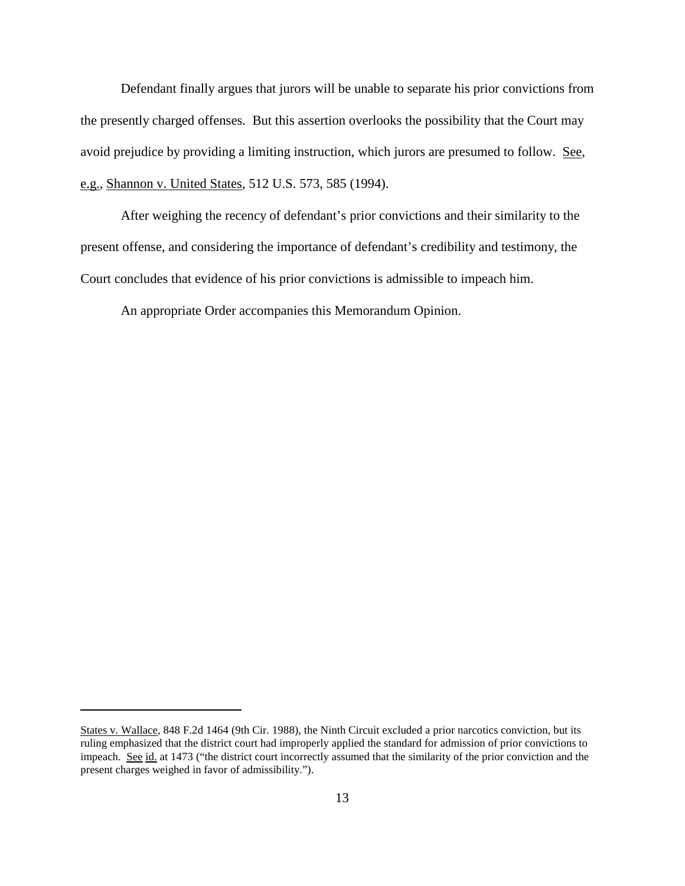Defendant finally argues that jurors will be unable to separate his prior convictions from the presently charged offenses. But this assertion overlooks the possibility that the Court may avoid prejudice by providing a limiting instruction, which jurors are presumed to follow. See, e.g., Shannon v. United States, 512 U.S. 573, 585 (1994).

After weighing the recency of defendant's prior convictions and their similarity to the present offense, and considering the importance of defendant's credibility and testimony, the Court concludes that evidence of his prior convictions is admissible to impeach him.

An appropriate Order accompanies this Memorandum Opinion.

States v. Wallace, 848 F.2d 1464 (9th Cir. 1988), the Ninth Circuit excluded a prior narcotics conviction, but its ruling emphasized that the district court had improperly applied the standard for admission of prior convictions to impeach. See id. at 1473 ("the district court incorrectly assumed that the similarity of the prior conviction and the present charges weighed in favor of admissibility.").